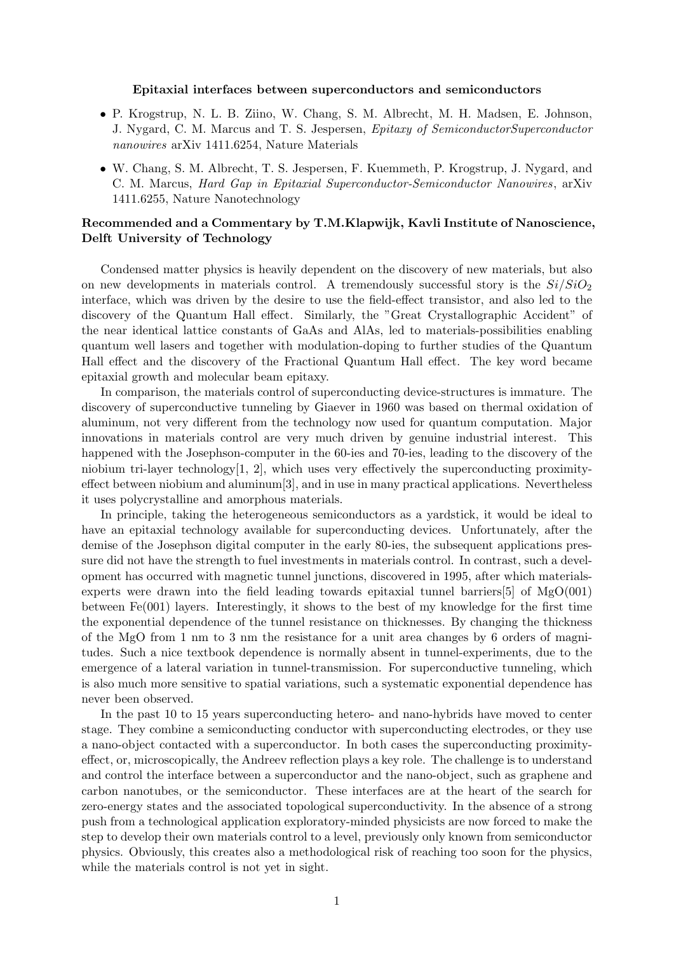## Epitaxial interfaces between superconductors and semiconductors

- P. Krogstrup, N. L. B. Ziino, W. Chang, S. M. Albrecht, M. H. Madsen, E. Johnson, J. Nygard, C. M. Marcus and T. S. Jespersen, Epitaxy of SemiconductorSuperconductor nanowires arXiv 1411.6254, Nature Materials
- W. Chang, S. M. Albrecht, T. S. Jespersen, F. Kuemmeth, P. Krogstrup, J. Nygard, and C. M. Marcus, Hard Gap in Epitaxial Superconductor-Semiconductor Nanowires, arXiv 1411.6255, Nature Nanotechnology

## Recommended and a Commentary by T.M.Klapwijk, Kavli Institute of Nanoscience, Delft University of Technology

Condensed matter physics is heavily dependent on the discovery of new materials, but also on new developments in materials control. A tremendously successful story is the  $Si/SiO<sub>2</sub>$ interface, which was driven by the desire to use the field-effect transistor, and also led to the discovery of the Quantum Hall effect. Similarly, the "Great Crystallographic Accident" of the near identical lattice constants of GaAs and AlAs, led to materials-possibilities enabling quantum well lasers and together with modulation-doping to further studies of the Quantum Hall effect and the discovery of the Fractional Quantum Hall effect. The key word became epitaxial growth and molecular beam epitaxy.

In comparison, the materials control of superconducting device-structures is immature. The discovery of superconductive tunneling by Giaever in 1960 was based on thermal oxidation of aluminum, not very different from the technology now used for quantum computation. Major innovations in materials control are very much driven by genuine industrial interest. This happened with the Josephson-computer in the 60-ies and 70-ies, leading to the discovery of the niobium tri-layer technology $[1, 2]$ , which uses very effectively the superconducting proximityeffect between niobium and aluminum[3], and in use in many practical applications. Nevertheless it uses polycrystalline and amorphous materials.

In principle, taking the heterogeneous semiconductors as a yardstick, it would be ideal to have an epitaxial technology available for superconducting devices. Unfortunately, after the demise of the Josephson digital computer in the early 80-ies, the subsequent applications pressure did not have the strength to fuel investments in materials control. In contrast, such a development has occurred with magnetic tunnel junctions, discovered in 1995, after which materialsexperts were drawn into the field leading towards epitaxial tunnel barriers[5] of MgO(001) between Fe(001) layers. Interestingly, it shows to the best of my knowledge for the first time the exponential dependence of the tunnel resistance on thicknesses. By changing the thickness of the MgO from 1 nm to 3 nm the resistance for a unit area changes by 6 orders of magnitudes. Such a nice textbook dependence is normally absent in tunnel-experiments, due to the emergence of a lateral variation in tunnel-transmission. For superconductive tunneling, which is also much more sensitive to spatial variations, such a systematic exponential dependence has never been observed.

In the past 10 to 15 years superconducting hetero- and nano-hybrids have moved to center stage. They combine a semiconducting conductor with superconducting electrodes, or they use a nano-object contacted with a superconductor. In both cases the superconducting proximityeffect, or, microscopically, the Andreev reflection plays a key role. The challenge is to understand and control the interface between a superconductor and the nano-object, such as graphene and carbon nanotubes, or the semiconductor. These interfaces are at the heart of the search for zero-energy states and the associated topological superconductivity. In the absence of a strong push from a technological application exploratory-minded physicists are now forced to make the step to develop their own materials control to a level, previously only known from semiconductor physics. Obviously, this creates also a methodological risk of reaching too soon for the physics, while the materials control is not yet in sight.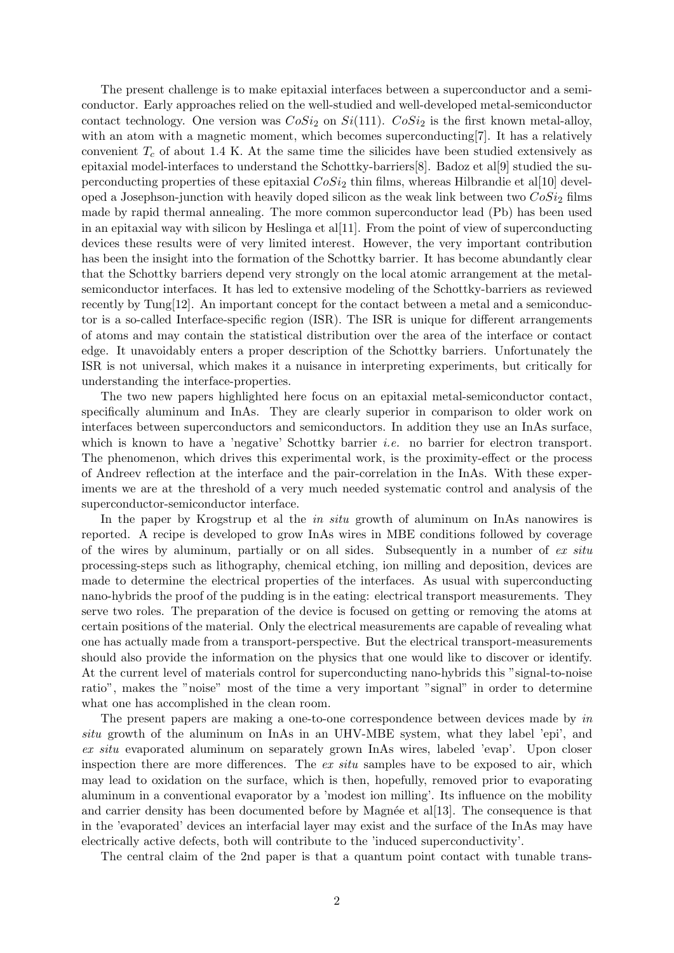The present challenge is to make epitaxial interfaces between a superconductor and a semiconductor. Early approaches relied on the well-studied and well-developed metal-semiconductor contact technology. One version was  $CoSi<sub>2</sub>$  on  $Si(111)$ .  $CoSi<sub>2</sub>$  is the first known metal-alloy, with an atom with a magnetic moment, which becomes superconducting [7]. It has a relatively convenient  $T_c$  of about 1.4 K. At the same time the silicides have been studied extensively as epitaxial model-interfaces to understand the Schottky-barriers[8]. Badoz et al[9] studied the superconducting properties of these epitaxial  $CoSi<sub>2</sub>$  thin films, whereas Hilbrandie et al[10] developed a Josephson-junction with heavily doped silicon as the weak link between two  $CoSi<sub>2</sub>$  films made by rapid thermal annealing. The more common superconductor lead (Pb) has been used in an epitaxial way with silicon by Heslinga et al.  $[11]$ . From the point of view of superconducting devices these results were of very limited interest. However, the very important contribution has been the insight into the formation of the Schottky barrier. It has become abundantly clear that the Schottky barriers depend very strongly on the local atomic arrangement at the metalsemiconductor interfaces. It has led to extensive modeling of the Schottky-barriers as reviewed recently by Tung[12]. An important concept for the contact between a metal and a semiconductor is a so-called Interface-specific region (ISR). The ISR is unique for different arrangements of atoms and may contain the statistical distribution over the area of the interface or contact edge. It unavoidably enters a proper description of the Schottky barriers. Unfortunately the ISR is not universal, which makes it a nuisance in interpreting experiments, but critically for understanding the interface-properties.

The two new papers highlighted here focus on an epitaxial metal-semiconductor contact, specifically aluminum and InAs. They are clearly superior in comparison to older work on interfaces between superconductors and semiconductors. In addition they use an InAs surface, which is known to have a 'negative' Schottky barrier *i.e.* no barrier for electron transport. The phenomenon, which drives this experimental work, is the proximity-effect or the process of Andreev reflection at the interface and the pair-correlation in the InAs. With these experiments we are at the threshold of a very much needed systematic control and analysis of the superconductor-semiconductor interface.

In the paper by Krogstrup et al the *in situ* growth of aluminum on InAs nanowires is reported. A recipe is developed to grow InAs wires in MBE conditions followed by coverage of the wires by aluminum, partially or on all sides. Subsequently in a number of ex situ processing-steps such as lithography, chemical etching, ion milling and deposition, devices are made to determine the electrical properties of the interfaces. As usual with superconducting nano-hybrids the proof of the pudding is in the eating: electrical transport measurements. They serve two roles. The preparation of the device is focused on getting or removing the atoms at certain positions of the material. Only the electrical measurements are capable of revealing what one has actually made from a transport-perspective. But the electrical transport-measurements should also provide the information on the physics that one would like to discover or identify. At the current level of materials control for superconducting nano-hybrids this "signal-to-noise ratio", makes the "noise" most of the time a very important "signal" in order to determine what one has accomplished in the clean room.

The present papers are making a one-to-one correspondence between devices made by in situ growth of the aluminum on InAs in an UHV-MBE system, what they label 'epi', and ex situ evaporated aluminum on separately grown InAs wires, labeled 'evap'. Upon closer inspection there are more differences. The  $ex\ situ$  samples have to be exposed to air, which may lead to oxidation on the surface, which is then, hopefully, removed prior to evaporating aluminum in a conventional evaporator by a 'modest ion milling'. Its influence on the mobility and carrier density has been documented before by Magnée et al[13]. The consequence is that in the 'evaporated' devices an interfacial layer may exist and the surface of the InAs may have electrically active defects, both will contribute to the 'induced superconductivity'.

The central claim of the 2nd paper is that a quantum point contact with tunable trans-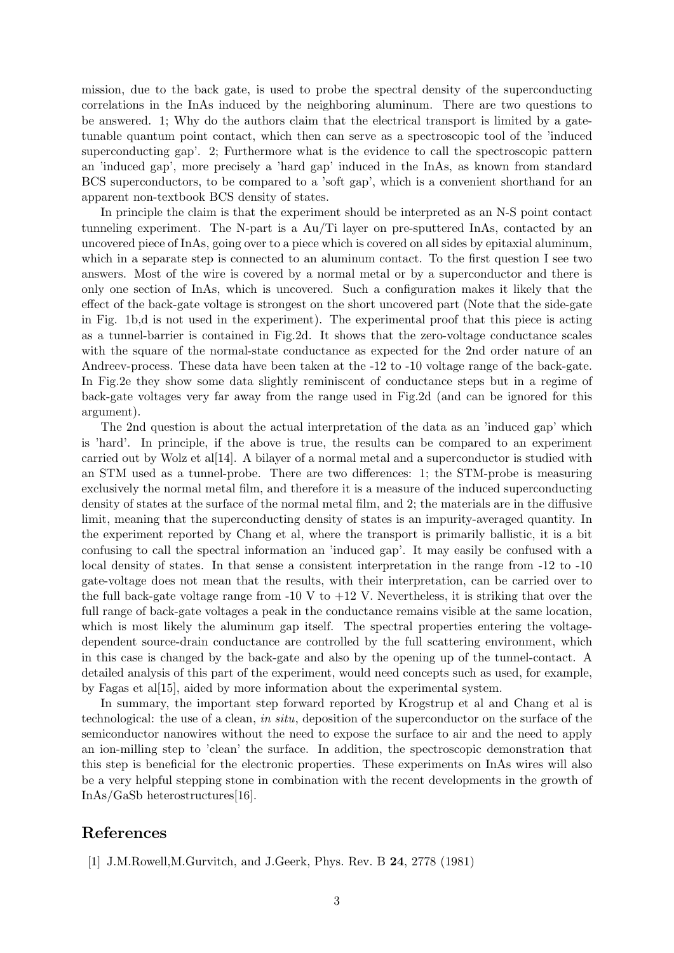mission, due to the back gate, is used to probe the spectral density of the superconducting correlations in the InAs induced by the neighboring aluminum. There are two questions to be answered. 1; Why do the authors claim that the electrical transport is limited by a gatetunable quantum point contact, which then can serve as a spectroscopic tool of the 'induced superconducting gap'. 2; Furthermore what is the evidence to call the spectroscopic pattern an 'induced gap', more precisely a 'hard gap' induced in the InAs, as known from standard BCS superconductors, to be compared to a 'soft gap', which is a convenient shorthand for an apparent non-textbook BCS density of states.

In principle the claim is that the experiment should be interpreted as an N-S point contact tunneling experiment. The N-part is a Au/Ti layer on pre-sputtered InAs, contacted by an uncovered piece of InAs, going over to a piece which is covered on all sides by epitaxial aluminum, which in a separate step is connected to an aluminum contact. To the first question I see two answers. Most of the wire is covered by a normal metal or by a superconductor and there is only one section of InAs, which is uncovered. Such a configuration makes it likely that the effect of the back-gate voltage is strongest on the short uncovered part (Note that the side-gate in Fig. 1b,d is not used in the experiment). The experimental proof that this piece is acting as a tunnel-barrier is contained in Fig.2d. It shows that the zero-voltage conductance scales with the square of the normal-state conductance as expected for the 2nd order nature of an Andreev-process. These data have been taken at the -12 to -10 voltage range of the back-gate. In Fig.2e they show some data slightly reminiscent of conductance steps but in a regime of back-gate voltages very far away from the range used in Fig.2d (and can be ignored for this argument).

The 2nd question is about the actual interpretation of the data as an 'induced gap' which is 'hard'. In principle, if the above is true, the results can be compared to an experiment carried out by Wolz et al[14]. A bilayer of a normal metal and a superconductor is studied with an STM used as a tunnel-probe. There are two differences: 1; the STM-probe is measuring exclusively the normal metal film, and therefore it is a measure of the induced superconducting density of states at the surface of the normal metal film, and 2; the materials are in the diffusive limit, meaning that the superconducting density of states is an impurity-averaged quantity. In the experiment reported by Chang et al, where the transport is primarily ballistic, it is a bit confusing to call the spectral information an 'induced gap'. It may easily be confused with a local density of states. In that sense a consistent interpretation in the range from -12 to -10 gate-voltage does not mean that the results, with their interpretation, can be carried over to the full back-gate voltage range from  $-10 \text{ V}$  to  $+12 \text{ V}$ . Nevertheless, it is striking that over the full range of back-gate voltages a peak in the conductance remains visible at the same location, which is most likely the aluminum gap itself. The spectral properties entering the voltagedependent source-drain conductance are controlled by the full scattering environment, which in this case is changed by the back-gate and also by the opening up of the tunnel-contact. A detailed analysis of this part of the experiment, would need concepts such as used, for example, by Fagas et al[15], aided by more information about the experimental system.

In summary, the important step forward reported by Krogstrup et al and Chang et al is technological: the use of a clean, in situ, deposition of the superconductor on the surface of the semiconductor nanowires without the need to expose the surface to air and the need to apply an ion-milling step to 'clean' the surface. In addition, the spectroscopic demonstration that this step is beneficial for the electronic properties. These experiments on InAs wires will also be a very helpful stepping stone in combination with the recent developments in the growth of InAs/GaSb heterostructures[16].

## References

[1] J.M.Rowell,M.Gurvitch, and J.Geerk, Phys. Rev. B 24, 2778 (1981)